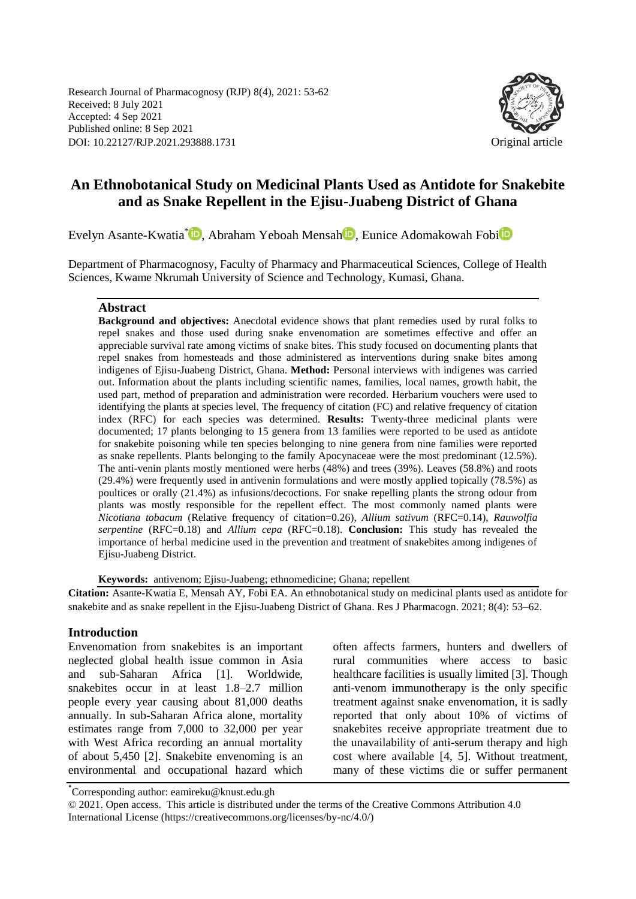Research Journal of Pharmacognosy (RJP) 8(4), 2021: 53-62 Received: 8 July 2021 Accepted: 4 Sep 2021 Published online: 8 Sep 2021 DOI: 10.22127/RJP.2021.293888.1731 Original article



# **An Ethnobotanical Study on Medicinal Plants Used as Antidote for Snakebite and as Snake Repellent in the Ejisu-Juabeng District of Ghana**

Evelyn Asante-Kwatia<sup>\*</sup> D[,](https://orcid.org/0000-0001-9251-4620) Abraham Yeboah Mensah D, Eun[i](https://orcid.org/orcid-search/search?searchQuery=0000-0001-6307-5606)ce Adomakowah Fobi

Department of Pharmacognosy, Faculty of Pharmacy and Pharmaceutical Sciences, College of Health Sciences, Kwame Nkrumah University of Science and Technology, Kumasi, Ghana.

## **Abstract**

**Background and objectives:** Anecdotal evidence shows that plant remedies used by rural folks to repel snakes and those used during snake envenomation are sometimes effective and offer an appreciable survival rate among victims of snake bites. This study focused on documenting plants that repel snakes from homesteads and those administered as interventions during snake bites among indigenes of Ejisu-Juabeng District, Ghana. **Method:** Personal interviews with indigenes was carried out. Information about the plants including scientific names, families, local names, growth habit, the used part, method of preparation and administration were recorded. Herbarium vouchers were used to identifying the plants at species level. The frequency of citation (FC) and relative frequency of citation index (RFC) for each species was determined. **Results:** Twenty-three medicinal plants were documented; 17 plants belonging to 15 genera from 13 families were reported to be used as antidote for snakebite poisoning while ten species belonging to nine genera from nine families were reported as snake repellents. Plants belonging to the family Apocynaceae were the most predominant (12.5%). The anti-venin plants mostly mentioned were herbs (48%) and trees (39%). Leaves (58.8%) and roots (29.4%) were frequently used in antivenin formulations and were mostly applied topically (78.5%) as poultices or orally (21.4%) as infusions/decoctions. For snake repelling plants the strong odour from plants was mostly responsible for the repellent effect. The most commonly named plants were *Nicotiana tobacum* (Relative frequency of citation=0.26), *Allium sativum* (RFC=0.14), *Rauwolfia serpentine* (RFC=0.18) and *Allium cepa* (RFC=0.18). **Conclusion:** This study has revealed the importance of herbal medicine used in the prevention and treatment of snakebites among indigenes of Ejisu-Juabeng District.

**Keywords:** antivenom; Ejisu-Juabeng; ethnomedicine; Ghana; repellent

**Citation:** Asante-Kwatia E, Mensah AY, Fobi EA. An ethnobotanical study on medicinal plants used as antidote for snakebite and as snake repellent in the Ejisu-Juabeng District of Ghana. Res J Pharmacogn. 2021; 8(4): 53–62.

## **Introduction**

Envenomation from snakebites is an important neglected global health issue common in Asia and sub-Saharan Africa [1]. Worldwide, snakebites occur in at least 1.8–2.7 million people every year causing about 81,000 deaths annually. In sub-Saharan Africa alone, mortality estimates range from 7,000 to 32,000 per year with West Africa recording an annual mortality of about 5,450 [2]. Snakebite envenoming is an environmental and occupational hazard which

often affects farmers, hunters and dwellers of rural communities where access to basic healthcare facilities is usually limited [3]. Though anti-venom immunotherapy is the only specific treatment against snake envenomation, it is sadly reported that only about 10% of victims of snakebites receive appropriate treatment due to the unavailability of anti-serum therapy and high cost where available [4, 5]. Without treatment, many of these victims die or suffer permanent

<sup>\*</sup> Corresponding author: eamireku@knust.edu.gh

<sup>© 2021.</sup> Open access. This article is distributed under the terms of the Creative Commons Attribution 4.0 International License (https://creativecommons.org/licenses/by-nc/4.0/)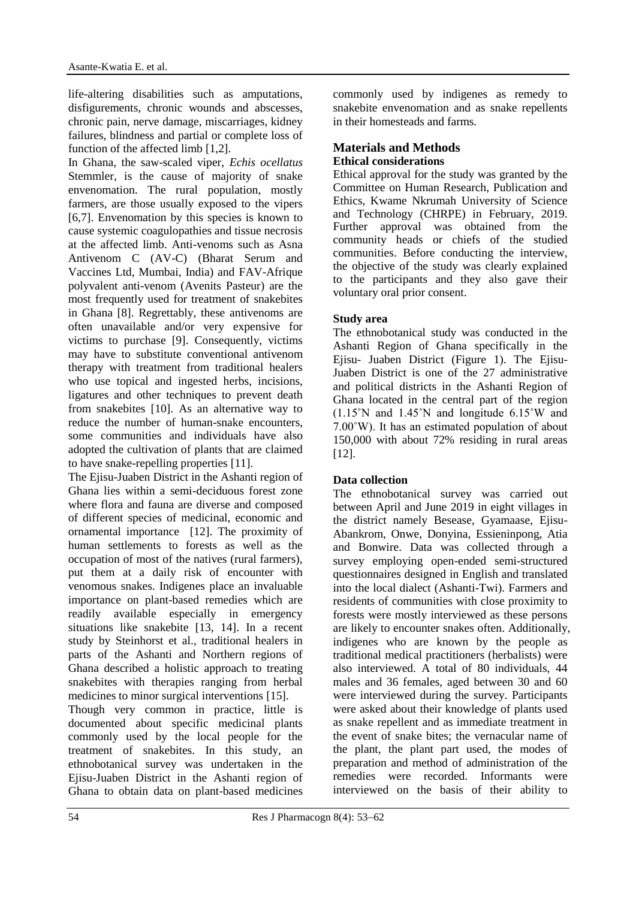life-altering disabilities such as amputations, disfigurements, chronic wounds and abscesses, chronic pain, nerve damage, miscarriages, kidney failures, blindness and partial or complete loss of function of the affected limb [1,2].

In Ghana, the saw-scaled viper, *Echis ocellatus* Stemmler, is the cause of majority of snake envenomation. The rural population, mostly farmers, are those usually exposed to the vipers [6,7]. Envenomation by this species is known to cause systemic coagulopathies and tissue necrosis at the affected limb. Anti-venoms such as Asna Antivenom C (AV-C) (Bharat Serum and Vaccines Ltd, Mumbai, India) and FAV-Afrique polyvalent anti-venom (Avenits Pasteur) are the most frequently used for treatment of snakebites in Ghana [8]. Regrettably, these antivenoms are often unavailable and/or very expensive for victims to purchase [9]. Consequently, victims may have to substitute conventional antivenom therapy with treatment from traditional healers who use topical and ingested herbs, incisions, ligatures and other techniques to prevent death from snakebites [10]. As an alternative way to reduce the number of human-snake encounters, some communities and individuals have also adopted the cultivation of plants that are claimed to have snake-repelling properties [11].

The Ejisu-Juaben District in the Ashanti region of Ghana lies within a semi-deciduous forest zone where flora and fauna are diverse and composed of different species of medicinal, economic and ornamental importance [12]. The proximity of human settlements to forests as well as the occupation of most of the natives (rural farmers), put them at a daily risk of encounter with venomous snakes. Indigenes place an invaluable importance on plant-based remedies which are readily available especially in emergency situations like snakebite [13, 14]. In a recent study by Steinhorst et al., traditional healers in parts of the Ashanti and Northern regions of Ghana described a holistic approach to treating snakebites with therapies ranging from herbal medicines to minor surgical interventions [15].

Though very common in practice, little is documented about specific medicinal plants commonly used by the local people for the treatment of snakebites. In this study, an ethnobotanical survey was undertaken in the Ejisu-Juaben District in the Ashanti region of Ghana to obtain data on plant-based medicines commonly used by indigenes as remedy to snakebite envenomation and as snake repellents in their homesteads and farms.

## **Materials and Methods Ethical considerations**

Ethical approval for the study was granted by the Committee on Human Research, Publication and Ethics, Kwame Nkrumah University of Science and Technology (CHRPE) in February, 2019. Further approval was obtained from the community heads or chiefs of the studied communities. Before conducting the interview, the objective of the study was clearly explained to the participants and they also gave their voluntary oral prior consent.

## **Study area**

The ethnobotanical study was conducted in the Ashanti Region of Ghana specifically in the Ejisu- Juaben District (Figure 1). The Ejisu-Juaben District is one of the 27 administrative and political districts in the Ashanti Region of Ghana located in the central part of the region (1.15˚N and 1.45˚N and longitude 6.15˚W and 7.00˚W). It has an estimated population of about 150,000 with about 72% residing in rural areas [12].

# **Data collection**

The ethnobotanical survey was carried out between April and June 2019 in eight villages in the district namely Besease, Gyamaase, Ejisu-Abankrom, Onwe, Donyina, Essieninpong, Atia and Bonwire. Data was collected through a survey employing open-ended semi-structured questionnaires designed in English and translated into the local dialect (Ashanti-Twi). Farmers and residents of communities with close proximity to forests were mostly interviewed as these persons are likely to encounter snakes often. Additionally, indigenes who are known by the people as traditional medical practitioners (herbalists) were also interviewed. A total of 80 individuals, 44 males and 36 females, aged between 30 and 60 were interviewed during the survey. Participants were asked about their knowledge of plants used as snake repellent and as immediate treatment in the event of snake bites; the vernacular name of the plant, the plant part used, the modes of preparation and method of administration of the remedies were recorded. Informants were interviewed on the basis of their ability to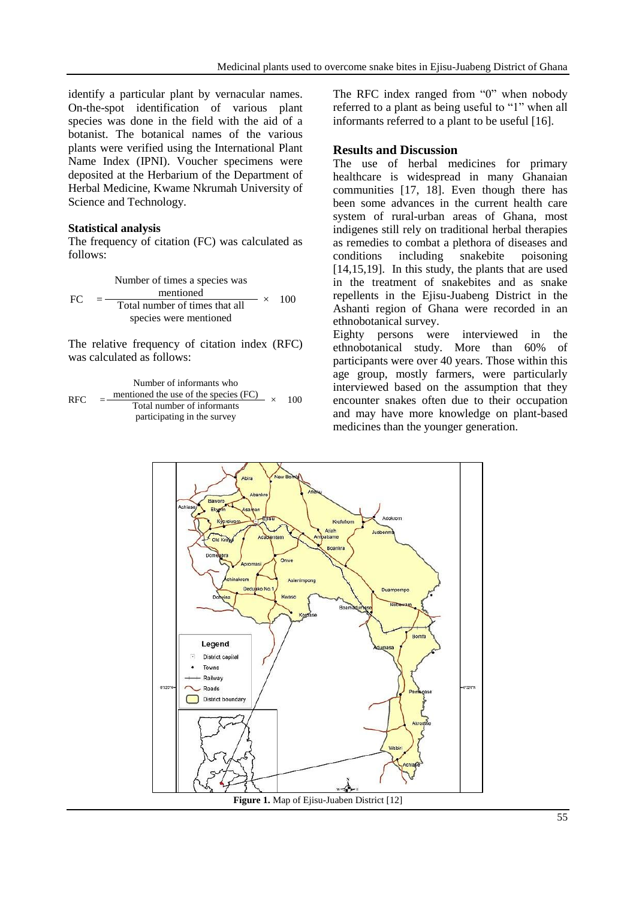identify a particular plant by vernacular names. On-the-spot identification of various plant species was done in the field with the aid of a botanist. The botanical names of the various plants were verified using the International Plant Name Index (IPNI). Voucher specimens were deposited at the Herbarium of the Department of Herbal Medicine, Kwame Nkrumah University of Science and Technology.

#### **Statistical analysis**

The frequency of citation (FC) was calculated as follows:

FC = Number of times a species was mentioned <sup>×</sup> <sup>100</sup> Total number of times that all species were mentioned

The relative frequency of citation index (RFC) was calculated as follows:

RFC = Number of informants who mentioned the use of the species (FC) <sup>×</sup> <sup>100</sup> Total number of informants participating in the survey

The RFC index ranged from "0" when nobody referred to a plant as being useful to "1" when all informants referred to a plant to be useful [16].

#### **Results and Discussion**

The use of herbal medicines for primary healthcare is widespread in many Ghanaian communities [17, 18]. Even though there has been some advances in the current health care system of rural-urban areas of Ghana, most indigenes still rely on traditional herbal therapies as remedies to combat a plethora of diseases and conditions including snakebite poisoning [14,15,19]. In this study, the plants that are used in the treatment of snakebites and as snake repellents in the Ejisu-Juabeng District in the Ashanti region of Ghana were recorded in an ethnobotanical survey.

Eighty persons were interviewed in the ethnobotanical study. More than 60% of participants were over 40 years. Those within this age group, mostly farmers, were particularly interviewed based on the assumption that they encounter snakes often due to their occupation and may have more knowledge on plant-based medicines than the younger generation.



**Figure 1.** Map of Ejisu-Juaben District [12]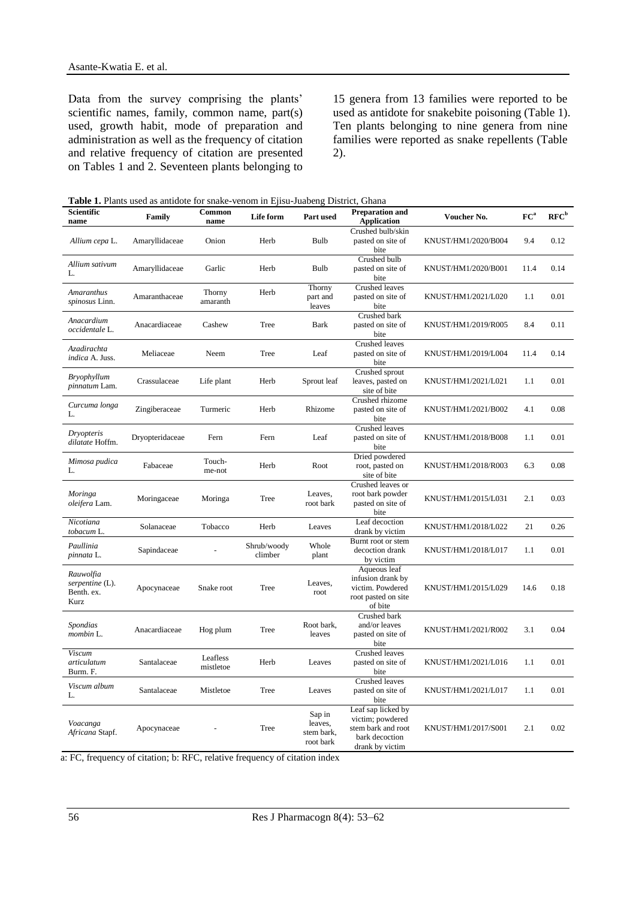Data from the survey comprising the plants' scientific names, family, common name, part(s) used, growth habit, mode of preparation and administration as well as the frequency of citation and relative frequency of citation are presented on Tables 1 and 2. Seventeen plants belonging to

15 genera from 13 families were reported to be used as antidote for snakebite poisoning (Table 1). Ten plants belonging to nine genera from nine families were reported as snake repellents (Table 2).

**Table 1.** Plants used as antidote for snake-venom in Ejisu-Juabeng District, Ghana

| Scientific<br>name                                 | Family          | Common<br>name        | Life form              | Part used                                    | <b>Preparation and</b><br>Voucher No.<br><b>Application</b>                                       |                     | FC <sup>a</sup> | $RFC^b$ |
|----------------------------------------------------|-----------------|-----------------------|------------------------|----------------------------------------------|---------------------------------------------------------------------------------------------------|---------------------|-----------------|---------|
| Allium cepa L.                                     | Amaryllidaceae  | Onion                 | Herb                   | Bulb                                         | Crushed bulb/skin<br>pasted on site of<br>bite                                                    | KNUST/HM1/2020/B004 | 9.4             | 0.12    |
| Allium sativum<br>L.                               | Amaryllidaceae  | Garlic                | Herb                   | Bulb                                         | Crushed bulb<br>pasted on site of<br>bite                                                         | KNUST/HM1/2020/B001 | 11.4            | 0.14    |
| Amaranthus<br>spinosus Linn.                       | Amaranthaceae   | Thorny<br>amaranth    | Herb                   | Thorny<br>part and<br>leaves                 | <b>Crushed leaves</b><br>pasted on site of<br>bite                                                | KNUST/HM1/2021/L020 | 1.1             | 0.01    |
| Anacardium<br>occidentale L.                       | Anacardiaceae   | Cashew                | Tree                   | Bark                                         | Crushed bark<br>pasted on site of<br>bite                                                         | KNUST/HM1/2019/R005 | 8.4             | 0.11    |
| Azadirachta<br>indica A. Juss.                     | Meliaceae       | Neem                  | Tree                   | Leaf                                         | <b>Crushed leaves</b><br>pasted on site of<br>bite                                                | KNUST/HM1/2019/L004 | 11.4            | 0.14    |
| <b>Bryophyllum</b><br><i>pinnatum</i> Lam.         | Crassulaceae    | Life plant            | Herb                   | Sprout leaf                                  | Crushed sprout<br>leaves, pasted on<br>site of bite                                               | KNUST/HM1/2021/L021 | 1.1             | 0.01    |
| Curcuma longa<br>L.                                | Zingiberaceae   | Turmeric              | Herb                   | Rhizome                                      | Crushed rhizome<br>pasted on site of<br>bite                                                      | KNUST/HM1/2021/B002 | 4.1             | 0.08    |
| Dryopteris<br>dilatate Hoffm.                      | Dryopteridaceae | Fern                  | Fern                   | Leaf                                         | <b>Crushed leaves</b><br>pasted on site of<br>bite                                                | KNUST/HM1/2018/B008 | 1.1             | 0.01    |
| Mimosa pudica<br>L.                                | Fabaceae        | Touch-<br>me-not      | Herb                   | Root                                         | Dried powdered<br>root, pasted on<br>site of bite                                                 | KNUST/HM1/2018/R003 | 6.3             | 0.08    |
| Moringa<br>oleifera Lam.                           | Moringaceae     | Moringa               | Tree                   | Leaves,<br>root bark                         | Crushed leaves or<br>root bark powder<br>pasted on site of<br>bite                                | KNUST/HM1/2015/L031 | 2.1             | 0.03    |
| Nicotiana<br>tobacum L.                            | Solanaceae      | Tobacco               | Herb                   | Leaves                                       | Leaf decoction<br>drank by victim                                                                 | KNUST/HM1/2018/L022 | 21              | 0.26    |
| Paullinia<br>pinnata L.                            | Sapindaceae     |                       | Shrub/woody<br>climber | Whole<br>plant                               | Burnt root or stem<br>decoction drank<br>by victim                                                | KNUST/HM1/2018/L017 | 1.1             | 0.01    |
| Rauwolfia<br>serpentine (L).<br>Benth. ex.<br>Kurz | Apocynaceae     | Snake root            | Tree                   | Leaves,<br>root                              | Aqueous leaf<br>infusion drank by<br>victim. Powdered<br>root pasted on site<br>of bite           | KNUST/HM1/2015/L029 | 14.6            | 0.18    |
| Spondias<br>mombin L.                              | Anacardiaceae   | Hog plum              | Tree                   | Root bark,<br>leaves                         | Crushed bark<br>and/or leaves<br>pasted on site of<br>bite                                        | KNUST/HM1/2021/R002 | 3.1             | 0.04    |
| <b>Viscum</b><br>articulatum<br>Burm. F.           | Santalaceae     | Leafless<br>mistletoe | Herb                   | Leaves                                       | Crushed leaves<br>pasted on site of<br>bite                                                       | KNUST/HM1/2021/L016 | 1.1             | 0.01    |
| Viscum album<br>L.                                 | Santalaceae     | Mistletoe             | Tree                   | Leaves                                       | Crushed leaves<br>pasted on site of<br>bite                                                       | KNUST/HM1/2021/L017 | 1.1             | 0.01    |
| Voacanga<br>Africana Stapf.                        | Apocynaceae     |                       | Tree                   | Sap in<br>leaves,<br>stem bark,<br>root bark | Leaf sap licked by<br>victim; powdered<br>stem bark and root<br>bark decoction<br>drank by victim | KNUST/HM1/2017/S001 | 2.1             | 0.02    |

a: FC, frequency of citation; b: RFC, relative frequency of citation index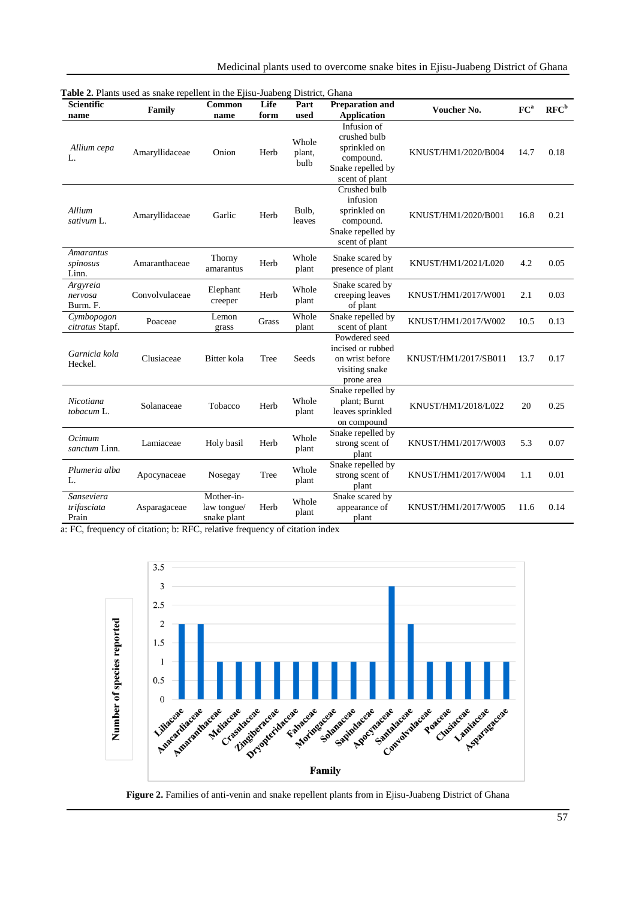Medicinal plants used to overcome snake bites in Ejisu-Juabeng District of Ghana

| <b>Scientific</b><br>name          | $\frac{1}{2}$ . The contract the state is presented in the $\frac{1}{2}$ pour state only<br>Family | Common<br>name                           | Life<br>form | District, Ontaria<br>Part<br>used | <b>Preparation and</b><br><b>Application</b>                                                    | Voucher No.          | FC <sup>a</sup> | $RFC^b$ |
|------------------------------------|----------------------------------------------------------------------------------------------------|------------------------------------------|--------------|-----------------------------------|-------------------------------------------------------------------------------------------------|----------------------|-----------------|---------|
| Allium cepa<br>L.                  | Amaryllidaceae                                                                                     | Onion                                    | Herb         | Whole<br>plant,<br>bulb           | Infusion of<br>crushed bulb<br>sprinkled on<br>compound.<br>Snake repelled by<br>scent of plant | KNUST/HM1/2020/B004  | 14.7            | 0.18    |
| Allium<br>sativum L.               | Amaryllidaceae                                                                                     | Garlic                                   | Herb         | Bulb,<br>leaves                   | Crushed bulb<br>infusion<br>sprinkled on<br>compound.<br>Snake repelled by<br>scent of plant    | KNUST/HM1/2020/B001  | 16.8            | 0.21    |
| Amarantus<br>spinosus<br>Linn.     | Amaranthaceae                                                                                      | Thorny<br>amarantus                      | Herb         | Whole<br>plant                    | Snake scared by<br>presence of plant                                                            | KNUST/HM1/2021/L020  | 4.2             | 0.05    |
| Argyreia<br>nervosa<br>Burm. F.    | Convolvulaceae                                                                                     | Elephant<br>creeper                      | Herb         | Whole<br>plant                    | Snake scared by<br>creeping leaves<br>of plant                                                  | KNUST/HM1/2017/W001  | 2.1             | 0.03    |
| Cymbopogon<br>citratus Stapf.      | Poaceae                                                                                            | Lemon<br>grass                           | Grass        | Whole<br>plant                    | Snake repelled by<br>scent of plant                                                             | KNUST/HM1/2017/W002  | 10.5            | 0.13    |
| Garnicia kola<br>Heckel.           | Clusiaceae                                                                                         | Bitter kola                              | Tree         | Seeds                             | Powdered seed<br>incised or rubbed<br>on wrist before<br>visiting snake<br>prone area           | KNUST/HM1/2017/SB011 | 13.7            | 0.17    |
| Nicotiana<br>tobacum L.            | Solanaceae                                                                                         | Tobacco                                  | Herb         | Whole<br>plant                    | Snake repelled by<br>plant; Burnt<br>leaves sprinkled<br>on compound                            | KNUST/HM1/2018/L022  | 20              | 0.25    |
| Ocimum<br>sanctum Linn.            | Lamiaceae                                                                                          | Holy basil                               | Herb         | Whole<br>plant                    | Snake repelled by<br>strong scent of<br>plant                                                   | KNUST/HM1/2017/W003  | 5.3             | 0.07    |
| Plumeria alba<br>L.                | Apocynaceae                                                                                        | Nosegay                                  | Tree         | Whole<br>plant                    | Snake repelled by<br>strong scent of<br>plant                                                   | KNUST/HM1/2017/W004  | 1.1             | 0.01    |
| Sanseviera<br>trifasciata<br>Prain | Asparagaceae                                                                                       | Mother-in-<br>law tongue/<br>snake plant | Herb         | Whole<br>plant                    | Snake scared by<br>appearance of<br>plant                                                       | KNUST/HM1/2017/W005  | 11.6            | 0.14    |

**Table 2.** Plants used as snake repellent in the Ejisu-Juabeng District, Ghana

a: FC, frequency of citation; b: RFC, relative frequency of citation index



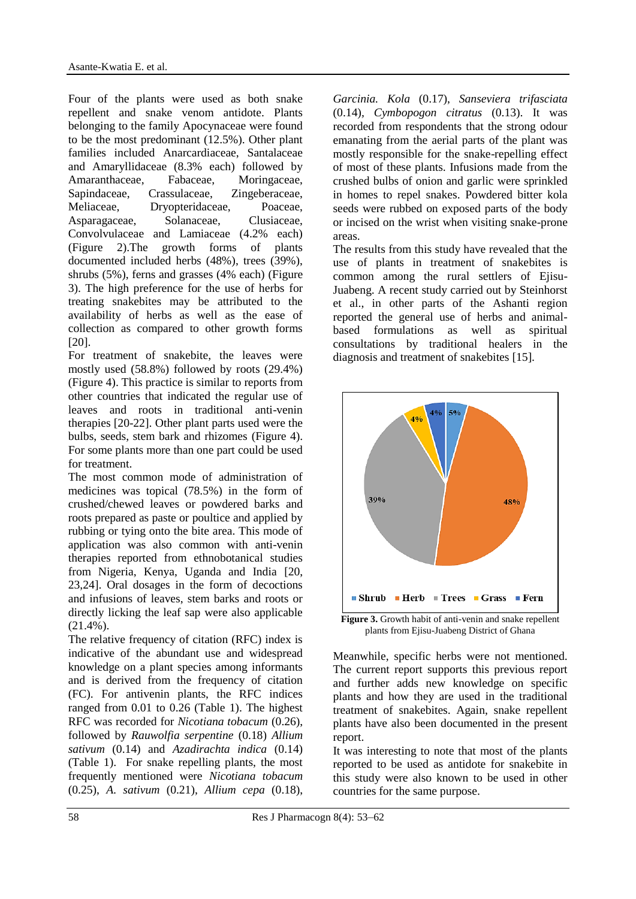Four of the plants were used as both snake repellent and snake venom antidote. Plants belonging to the family Apocynaceae were found to be the most predominant (12.5%). Other plant families included Anarcardiaceae, Santalaceae and Amaryllidaceae (8.3% each) followed by Amaranthaceae, Fabaceae, Moringaceae, Sapindaceae, Crassulaceae, Zingeberaceae, Meliaceae, Dryopteridaceae, Poaceae, Asparagaceae, Solanaceae, Clusiaceae, Convolvulaceae and Lamiaceae (4.2% each) (Figure 2).The growth forms of plants documented included herbs (48%), trees (39%), shrubs (5%), ferns and grasses (4% each) (Figure 3). The high preference for the use of herbs for treating snakebites may be attributed to the availability of herbs as well as the ease of collection as compared to other growth forms [20].

For treatment of snakebite, the leaves were mostly used (58.8%) followed by roots (29.4%) (Figure 4). This practice is similar to reports from other countries that indicated the regular use of leaves and roots in traditional anti-venin therapies [20-22]. Other plant parts used were the bulbs, seeds, stem bark and rhizomes (Figure 4). For some plants more than one part could be used for treatment.

The most common mode of administration of medicines was topical (78.5%) in the form of crushed/chewed leaves or powdered barks and roots prepared as paste or poultice and applied by rubbing or tying onto the bite area. This mode of application was also common with anti-venin therapies reported from ethnobotanical studies from Nigeria, Kenya, Uganda and India [20, 23,24]. Oral dosages in the form of decoctions and infusions of leaves, stem barks and roots or directly licking the leaf sap were also applicable (21.4%).

The relative frequency of citation (RFC) index is indicative of the abundant use and widespread knowledge on a plant species among informants and is derived from the frequency of citation (FC). For antivenin plants, the RFC indices ranged from 0.01 to 0.26 (Table 1). The highest RFC was recorded for *Nicotiana tobacum* (0.26), followed by *Rauwolfia serpentine* (0.18) *Allium sativum* (0.14) and *Azadirachta indica* (0.14) (Table 1). For snake repelling plants, the most frequently mentioned were *Nicotiana tobacum*  (0.25), *A. sativum* (0.21), *Allium cepa* (0.18), *Garcinia. Kola* (0.17), *Sanseviera trifasciata* (0.14)*, Cymbopogon citratus* (0.13). It was recorded from respondents that the strong odour emanating from the aerial parts of the plant was mostly responsible for the snake-repelling effect of most of these plants. Infusions made from the crushed bulbs of onion and garlic were sprinkled in homes to repel snakes. Powdered bitter kola seeds were rubbed on exposed parts of the body or incised on the wrist when visiting snake-prone areas.

The results from this study have revealed that the use of plants in treatment of snakebites is common among the rural settlers of Ejisu-Juabeng. A recent study carried out by Steinhorst et al., in other parts of the Ashanti region reported the general use of herbs and animalbased formulations as well as spiritual consultations by traditional healers in the diagnosis and treatment of snakebites [15].



plants from Ejisu-Juabeng District of Ghana

Meanwhile, specific herbs were not mentioned. The current report supports this previous report and further adds new knowledge on specific plants and how they are used in the traditional treatment of snakebites. Again, snake repellent plants have also been documented in the present report.

It was interesting to note that most of the plants reported to be used as antidote for snakebite in this study were also known to be used in other countries for the same purpose.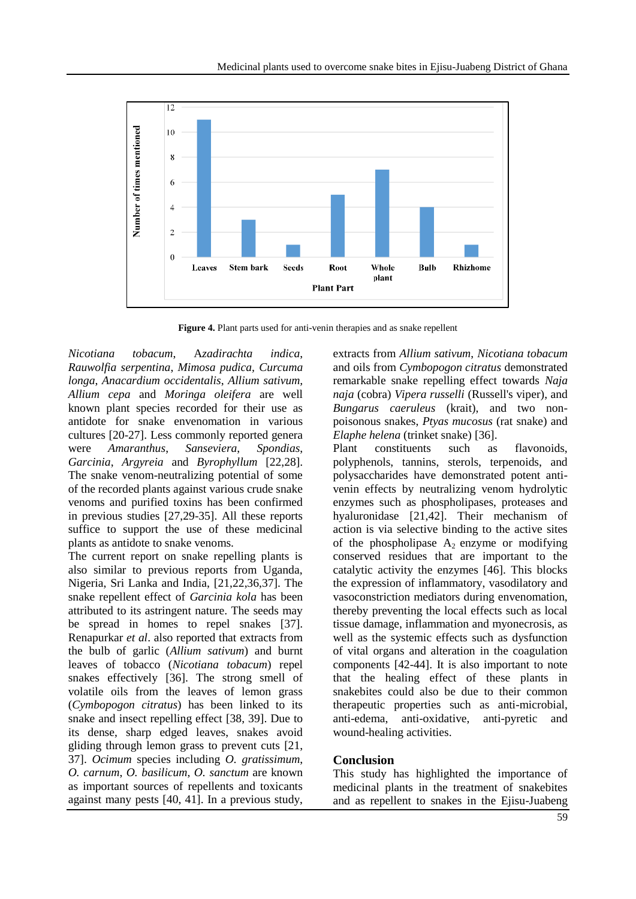

**Figure 4.** Plant parts used for anti-venin therapies and as snake repellent

*Nicotiana tobacum*, A*zadirachta indica*, *Rauwolfia serpentina*, *Mimosa pudica, Curcuma longa*, *Anacardium occidentalis*, *Allium sativum, Allium cepa* and *Moringa oleifera* are well known plant species recorded for their use as antidote for snake envenomation in various cultures [20-27]. Less commonly reported genera were *Amaranthus*, *Sanseviera*, *Spondias*, *Garcinia*, *Argyreia* and *Byrophyllum* [22,28]. The snake venom-neutralizing potential of some of the recorded plants against various crude snake venoms and purified toxins has been confirmed in previous studies [27,29-35]. All these reports suffice to support the use of these medicinal plants as antidote to snake venoms.

The current report on snake repelling plants is also similar to previous reports from Uganda, Nigeria, Sri Lanka and India, [21,22,36,37]. The snake repellent effect of *Garcinia kola* has been attributed to its astringent nature. The seeds may be spread in homes to repel snakes [37]. Renapurkar *et al*. also reported that extracts from the bulb of garlic (*Allium sativum*) and burnt leaves of tobacco (*Nicotiana tobacum*) repel snakes effectively [36]. The strong smell of volatile oils from the leaves of lemon grass (*Cymbopogon citratus*) has been linked to its snake and insect repelling effect [38, 39]. Due to its dense, sharp edged leaves, snakes avoid gliding through lemon grass to prevent cuts [21, 37]. *Ocimum* species including *O. gratissimum*, *O. carnum*, *O. basilicum*, *O. sanctum* are known as important sources of repellents and toxicants against many pests [40, 41]. In a previous study, extracts from *Allium sativum*, *Nicotiana tobacum* and oils from *Cymbopogon citratus* demonstrated remarkable snake repelling effect towards *Naja naja* (cobra) *Vipera russelli* (Russell's viper), and *Bungarus caeruleus* (krait), and two nonpoisonous snakes, *Ptyas mucosus* (rat snake) and *Elaphe helena* (trinket snake) [36].

Plant constituents such as flavonoids, polyphenols, tannins, sterols, terpenoids, and polysaccharides have demonstrated potent antivenin effects by neutralizing venom hydrolytic enzymes such as phospholipases, proteases and hyaluronidase [21,42]. Their mechanism of action is via selective binding to the active sites of the phospholipase  $A_2$  enzyme or modifying conserved residues that are important to the catalytic activity the enzymes [46]. This blocks the expression of inflammatory, vasodilatory and vasoconstriction mediators during envenomation, thereby preventing the local effects such as local tissue damage, inflammation and myonecrosis, as well as the systemic effects such as dysfunction of vital organs and alteration in the coagulation components [42-44]. It is also important to note that the healing effect of these plants in snakebites could also be due to their common therapeutic properties such as anti-microbial, anti-edema, anti-oxidative, anti-pyretic and wound-healing activities.

## **Conclusion**

This study has highlighted the importance of medicinal plants in the treatment of snakebites and as repellent to snakes in the Ejisu-Juabeng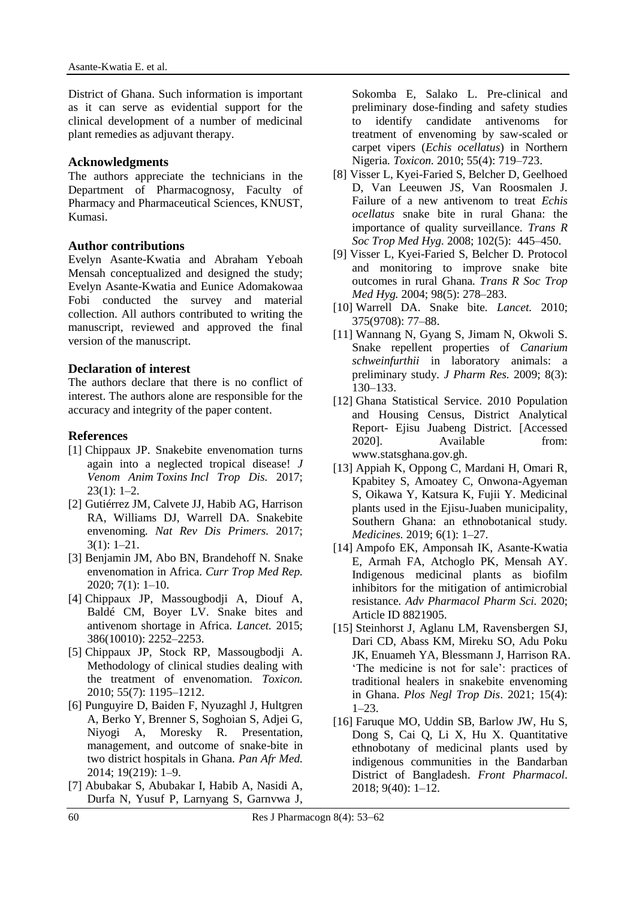District of Ghana. Such information is important as it can serve as evidential support for the clinical development of a number of medicinal plant remedies as adjuvant therapy.

#### **Acknowledgments**

The authors appreciate the technicians in the Department of Pharmacognosy, Faculty of Pharmacy and Pharmaceutical Sciences, KNUST, Kumasi.

## **Author contributions**

Evelyn Asante-Kwatia and Abraham Yeboah Mensah conceptualized and designed the study; Evelyn Asante-Kwatia and Eunice Adomakowaa Fobi conducted the survey and material collection. All authors contributed to writing the manuscript, reviewed and approved the final version of the manuscript.

#### **Declaration of interest**

The authors declare that there is no conflict of interest. The authors alone are responsible for the accuracy and integrity of the paper content.

#### **References**

- [1] Chippaux JP. Snakebite envenomation turns again into a neglected tropical disease! *J Venom Anim Toxins Incl Trop Dis.* 2017; 23(1): 1–2.
- [2] Gutiérrez JM, Calvete JJ, Habib AG, Harrison RA, Williams DJ, Warrell DA. Snakebite envenoming*. Nat Rev Dis Primers.* 2017; 3(1): 1–21.
- [3] Benjamin JM, Abo BN, Brandehoff N. Snake envenomation in Africa*. Curr Trop Med Rep.*  2020; 7(1): 1–10.
- [4] Chippaux JP, Massougbodji A, Diouf A, Baldé CM, Boyer LV. Snake bites and antivenom shortage in Africa*. Lancet.* 2015; 386(10010): 2252–2253.
- [5] Chippaux JP, Stock RP, Massougbodji A. Methodology of clinical studies dealing with the treatment of envenomation*. Toxicon.*  2010; 55(7): 1195–1212.
- [6] Punguyire D, Baiden F, Nyuzaghl J, Hultgren A, Berko Y, Brenner S, Soghoian S, Adjei G, Niyogi A, Moresky R. Presentation, management, and outcome of snake-bite in two district hospitals in Ghana*. Pan Afr Med.*  2014; 19(219): 1–9.
- [7] Abubakar S, Abubakar I, Habib A, Nasidi A, Durfa N, Yusuf P, Larnyang S, Garnvwa J,

Sokomba E, Salako L. Pre-clinical and preliminary dose-finding and safety studies to identify candidate antivenoms for treatment of envenoming by saw-scaled or carpet vipers (*Echis ocellatus*) in Northern Nigeria*. Toxicon.* 2010; 55(4): 719–723.

- [8] Visser L, Kyei-Faried S, Belcher D, Geelhoed D, Van Leeuwen JS, Van Roosmalen J. Failure of a new antivenom to treat *Echis ocellatus* snake bite in rural Ghana: the importance of quality surveillance*. Trans R Soc Trop Med Hyg.* 2008; 102(5): 445–450.
- [9] Visser L, Kyei-Faried S, Belcher D. Protocol and monitoring to improve snake bite outcomes in rural Ghana*. Trans R Soc Trop Med Hyg.* 2004; 98(5): 278–283.
- [10] Warrell DA. Snake bite*. Lancet.* 2010; 375(9708): 77–88.
- [11] Wannang N, Gyang S, Jimam N, Okwoli S. Snake repellent properties of *Canarium schweinfurthii* in laboratory animals: a preliminary study*. J Pharm Res.* 2009; 8(3): 130–133.
- [12] Ghana Statistical Service. 2010 Population and Housing Census, District Analytical Report- Ejisu Juabeng District. [Accessed 2020]. Available from: www.statsghana.gov.gh.
- [13] Appiah K, Oppong C, Mardani H, Omari R, Kpabitey S, Amoatey C, Onwona-Agyeman S, Oikawa Y, Katsura K, Fujii Y. Medicinal plants used in the Ejisu-Juaben municipality, Southern Ghana: an ethnobotanical study*. Medicines.* 2019; 6(1): 1–27.
- [14] Ampofo EK, Amponsah IK, Asante-Kwatia E, Armah FA, Atchoglo PK, Mensah AY. Indigenous medicinal plants as biofilm inhibitors for the mitigation of antimicrobial resistance*. Adv Pharmacol Pharm Sci.* 2020; Article ID 8821905.
- [15] Steinhorst J, Aglanu LM, Ravensbergen SJ, Dari CD, Abass KM, Mireku SO, Adu Poku JK, Enuameh YA, Blessmann J, Harrison RA. 'The medicine is not for sale': practices of traditional healers in snakebite envenoming in Ghana. *Plos Negl Trop Dis*. 2021; 15(4): 1–23.
- [16] Faruque MO, Uddin SB, Barlow JW, Hu S, Dong S, Cai Q, Li X, Hu X. Quantitative ethnobotany of medicinal plants used by indigenous communities in the Bandarban District of Bangladesh. *Front Pharmacol*. 2018; 9(40): 1–12.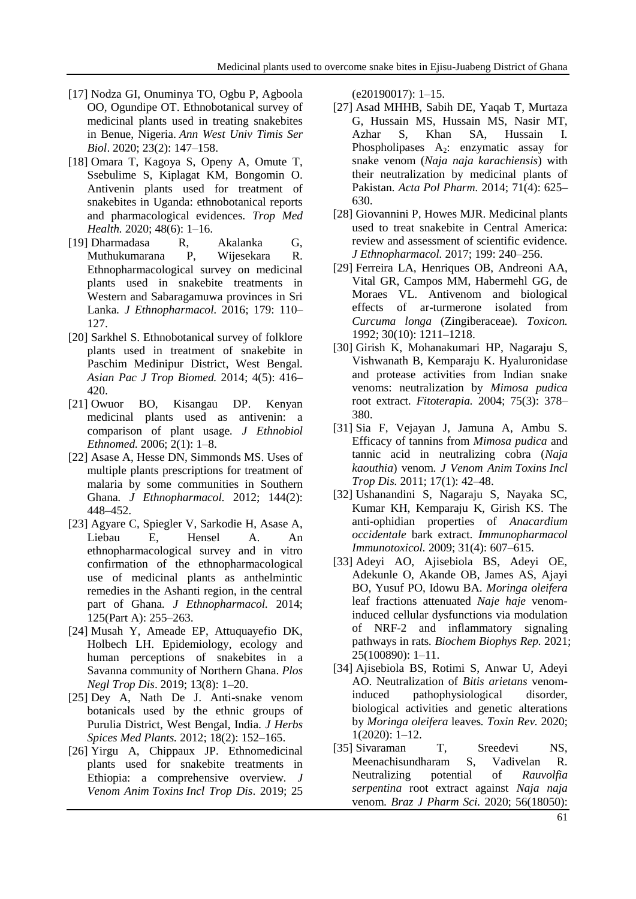- [17] Nodza GI, Onuminya TO, Ogbu P, Agboola OO, Ogundipe OT. Ethnobotanical survey of medicinal plants used in treating snakebites in Benue, Nigeria. *Ann West Univ Timis Ser Biol*. 2020; 23(2): 147–158.
- [18] Omara T, Kagoya S, Openy A, Omute T, Ssebulime S, Kiplagat KM, Bongomin O. Antivenin plants used for treatment of snakebites in Uganda: ethnobotanical reports and pharmacological evidences*. Trop Med Health.* 2020; 48(6): 1–16.
- [19] Dharmadasa R, Akalanka G, Muthukumarana P, Wijesekara R. Ethnopharmacological survey on medicinal plants used in snakebite treatments in Western and Sabaragamuwa provinces in Sri Lanka*. J Ethnopharmacol.* 2016; 179: 110– 127.
- [20] Sarkhel S. Ethnobotanical survey of folklore plants used in treatment of snakebite in Paschim Medinipur District, West Bengal*. Asian Pac J Trop Biomed.* 2014; 4(5): 416– 420.
- [21] Owuor BO, Kisangau DP. Kenyan medicinal plants used as antivenin: a comparison of plant usage*. J Ethnobiol Ethnomed.* 2006; 2(1): 1–8.
- [22] Asase A, Hesse DN, Simmonds MS. Uses of multiple plants prescriptions for treatment of malaria by some communities in Southern Ghana*. J Ethnopharmacol.* 2012; 144(2): 448–452.
- [23] Agyare C, Spiegler V, Sarkodie H, Asase A, Liebau E, Hensel A. An ethnopharmacological survey and in vitro confirmation of the ethnopharmacological use of medicinal plants as anthelmintic remedies in the Ashanti region, in the central part of Ghana*. J Ethnopharmacol.* 2014; 125(Part A): 255–263.
- [24] Musah Y, Ameade EP, Attuquayefio DK, Holbech LH. Epidemiology, ecology and human perceptions of snakebites in a Savanna community of Northern Ghana. *Plos Negl Trop Dis*. 2019; 13(8): 1–20.
- [25] Dey A, Nath De J. Anti-snake venom botanicals used by the ethnic groups of Purulia District, West Bengal, India*. J Herbs Spices Med Plants.* 2012; 18(2): 152–165.
- [26] Yirgu A, Chippaux JP. Ethnomedicinal plants used for snakebite treatments in Ethiopia: a comprehensive overview*. J Venom Anim Toxins Incl Trop Dis*. 2019; 25

(e20190017): 1–15.

- [27] Asad MHHB, Sabih DE, Yaqab T, Murtaza G, Hussain MS, Hussain MS, Nasir MT, Azhar S, Khan SA, Hussain I. Phospholipases  $A_2$ : enzymatic assay for snake venom (*Naja naja karachiensis*) with their neutralization by medicinal plants of Pakistan*. Acta Pol Pharm.* 2014; 71(4): 625– 630.
- [28] Giovannini P, Howes MJR. Medicinal plants used to treat snakebite in Central America: review and assessment of scientific evidence*. J Ethnopharmacol.* 2017; 199: 240–256.
- [29] Ferreira LA, Henriques OB, Andreoni AA, Vital GR, Campos MM, Habermehl GG, de Moraes VL. Antivenom and biological effects of ar-turmerone isolated from *Curcuma longa* (Zingiberaceae)*. Toxicon.*  1992; 30(10): 1211–1218.
- [30] Girish K, Mohanakumari HP, Nagaraju S, Vishwanath B, Kemparaju K. Hyaluronidase and protease activities from Indian snake venoms: neutralization by *Mimosa pudica* root extract*. Fitoterapia.* 2004; 75(3): 378– 380.
- [31] Sia F, Vejayan J, Jamuna A, Ambu S. Efficacy of tannins from *Mimosa pudica* and tannic acid in neutralizing cobra (*Naja kaouthia*) venom*. J Venom Anim Toxins Incl Trop Dis.* 2011; 17(1): 42–48.
- [32] Ushanandini S, Nagaraju S, Nayaka SC, Kumar KH, Kemparaju K, Girish KS. The anti-ophidian properties of *Anacardium occidentale* bark extract*. Immunopharmacol Immunotoxicol.* 2009; 31(4): 607–615.
- [33] Adeyi AO, Ajisebiola BS, Adeyi OE, Adekunle O, Akande OB, James AS, Ajayi BO, Yusuf PO, Idowu BA. *Moringa oleifera*  leaf fractions attenuated *Naje haje* venominduced cellular dysfunctions via modulation of NRF-2 and inflammatory signaling pathways in rats*. Biochem Biophys Rep.* 2021; 25(100890): 1–11.
- [34] Ajisebiola BS, Rotimi S, Anwar U, Adeyi AO. Neutralization of *Bitis arietans* venominduced pathophysiological disorder, biological activities and genetic alterations by *Moringa oleifera* leaves*. Toxin Rev.* 2020; 1(2020): 1–12.
- [35] Sivaraman T, Sreedevi NS, Meenachisundharam S, Vadivelan R. Neutralizing potential of *Rauvolfia serpentina* root extract against *Naja naja* venom*. Braz J Pharm Sci.* 2020; 56(18050):